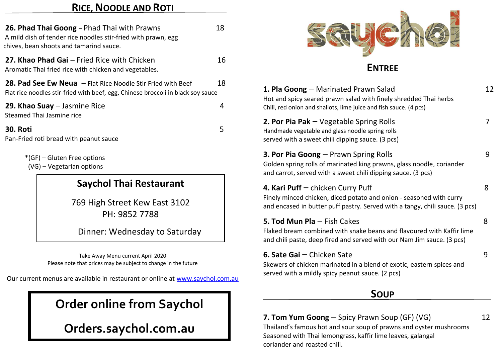## **RICE, NOODLE AND ROTI**

| 18                                                                                     |
|----------------------------------------------------------------------------------------|
| 16                                                                                     |
| 18<br>Flat rice noodles stir-fried with beef, egg, Chinese broccoli in black soy sauce |
| 4                                                                                      |
| 5                                                                                      |
|                                                                                        |
|                                                                                        |

## **Saychol Thai Restaurant**

769 High Street Kew East 3102 PH: 9852 7788

Dinner: Wednesday to Saturday

Take Away Menu current April 2020 Please note that prices may be subject to change in the future

Our current menus are available in restaurant or online at [www.saychol.com.au](http://www.saychol.com.au/)

# **Order online from Saychol**

**Orders.saychol.com.au**



### **ENTREE**

| 1. Pla Goong – Marinated Prawn Salad<br>Hot and spicy seared prawn salad with finely shredded Thai herbs<br>Chili, red onion and shallots, lime juice and fish sauce. (4 pcs)            | 12 |
|------------------------------------------------------------------------------------------------------------------------------------------------------------------------------------------|----|
| <b>2. Por Pia Pak</b> $-$ Vegetable Spring Rolls<br>Handmade vegetable and glass noodle spring rolls<br>served with a sweet chili dipping sauce. (3 pcs)                                 | 7  |
| <b>3. Por Pia Goong</b> – Prawn Spring Rolls<br>Golden spring rolls of marinated king prawns, glass noodle, coriander<br>and carrot, served with a sweet chili dipping sauce. (3 pcs)    | 9  |
| 4. Kari Puff - chicken Curry Puff<br>Finely minced chicken, diced potato and onion - seasoned with curry<br>and encased in butter puff pastry. Served with a tangy, chili sauce. (3 pcs) | 8  |
| <b>5. Tod Mun Pla</b> $-$ Fish Cakes<br>Flaked bream combined with snake beans and flavoured with Kaffir lime<br>and chili paste, deep fired and served with our Nam Jim sauce. (3 pcs)  | 8  |
| 6. Sate Gai - Chicken Sate<br>Skewers of chicken marinated in a blend of exotic, eastern spices and<br>served with a mildly spicy peanut sauce. (2 pcs)                                  | g  |
| SOUP                                                                                                                                                                                     |    |
|                                                                                                                                                                                          |    |

**7. Tom Yum Goong** – Spicy Prawn Soup (GF) (VG) 12 Thailand's famous hot and sour soup of prawns and oyster mushrooms Seasoned with Thai lemongrass, kaffir lime leaves, galangal coriander and roasted chili.